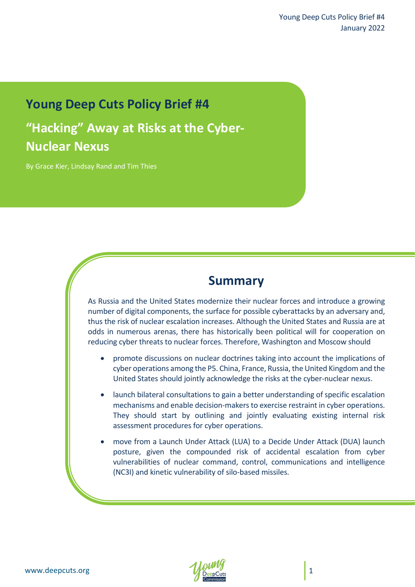# **Young Deep Cuts Policy Brief #4**

**"Hacking" Away at Risks at the Cyber-Nuclear Nexus**

By Grace Kier, Lindsay Rand and Tim Thies

# **Summary**

As Russia and the United States modernize their nuclear forces and introduce a growing number of digital components, the surface for possible cyberattacks by an adversary and, thus the risk of nuclear escalation increases. Although the United States and Russia are at odds in numerous arenas, there has historically been political will for cooperation on reducing cyber threats to nuclear forces. Therefore, Washington and Moscow should

- promote discussions on nuclear doctrines taking into account the implications of cyber operations among the P5. China, France, Russia, the United Kingdom and the United States should jointly acknowledge the risks at the cyber-nuclear nexus.
- launch bilateral consultations to gain a better understanding of specific escalation mechanisms and enable decision-makers to exercise restraint in cyber operations. They should start by outlining and jointly evaluating existing internal risk assessment procedures for cyber operations.
- move from a Launch Under Attack (LUA) to a Decide Under Attack (DUA) launch posture, given the compounded risk of accidental escalation from cyber vulnerabilities of nuclear command, control, communications and intelligence (NC3I) and kinetic vulnerability of silo-based missiles.

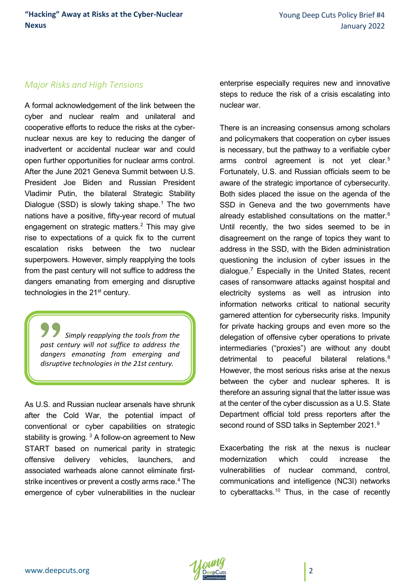#### *Major Risks and High Tensions*

A formal acknowledgement of the link between the cyber and nuclear realm and unilateral and cooperative efforts to reduce the risks at the cybernuclear nexus are key to reducing the danger of inadvertent or accidental nuclear war and could open further opportunities for nuclear arms control. After the June 2021 Geneva Summit between U.S. President Joe Biden and Russian President Vladimir Putin, the bilateral Strategic Stability Dialogue (SSD) is slowly taking shape.<sup>[1](#page-11-0)</sup> The two nations have a positive, fifty-year record of mutual engagement on strategic matters.<sup>2</sup> This may give rise to expectations of a quick fix to the current escalation risks between the two nuclear superpowers. However, simply reapplying the tools from the past century will not suffice to address the dangers emanating from emerging and disruptive technologies in the 21<sup>st</sup> century.

*Simply reapplying the tools from the past century will not suffice to address the dangers emanating from emerging and disruptive technologies in the 21st century.*

As U.S. and Russian nuclear arsenals have shrunk after the Cold War, the potential impact of conventional or cyber capabilities on strategic stability is growing.  $3$  A follow-on agreement to New START based on numerical parity in strategic offensive delivery vehicles, launchers, and associated warheads alone cannot eliminate first-strike incentives or prevent a costly arms race.<sup>[4](#page-11-3)</sup> The emergence of cyber vulnerabilities in the nuclear enterprise especially requires new and innovative steps to reduce the risk of a crisis escalating into nuclear war.

There is an increasing consensus among scholars and policymakers that cooperation on cyber issues is necessary, but the pathway to a verifiable cyber arms control agreement is not yet clear.<sup>[5](#page-11-4)</sup> Fortunately, U.S. and Russian officials seem to be aware of the strategic importance of cybersecurity. Both sides placed the issue on the agenda of the SSD in Geneva and the two governments have already established consultations on the matter.<sup>[6](#page-11-5)</sup> Until recently, the two sides seemed to be in disagreement on the range of topics they want to address in the SSD, with the Biden administration questioning the inclusion of cyber issues in the dialogue.<sup>[7](#page-11-6)</sup> Especially in the United States, recent cases of ransomware attacks against hospital and electricity systems as well as intrusion into information networks critical to national security garnered attention for cybersecurity risks. Impunity for private hacking groups and even more so the delegation of offensive cyber operations to private intermediaries ("proxies") are without any doubt detrimental to peaceful bilateral relations.<sup>[8](#page-11-7)</sup> However, the most serious risks arise at the nexus between the cyber and nuclear spheres. It is therefore an assuring signal that the latter issue was at the center of the cyber discussion as a U.S. State Department official told press reporters after the second round of SSD talks in September 2021.<sup>[9](#page-11-8)</sup>

Exacerbating the risk at the nexus is nuclear modernization which could increase the vulnerabilities of nuclear command, control, communications and intelligence (NC3I) networks to cyberattacks.<sup>[10](#page-11-9)</sup> Thus, in the case of recently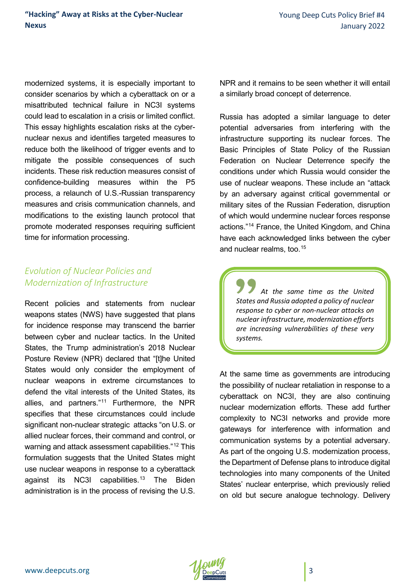modernized systems, it is especially important to consider scenarios by which a cyberattack on or a misattributed technical failure in NC3I systems could lead to escalation in a crisis or limited conflict. This essay highlights escalation risks at the cybernuclear nexus and identifies targeted measures to reduce both the likelihood of trigger events and to mitigate the possible consequences of such incidents. These risk reduction measures consist of confidence-building measures within the P5 process, a relaunch of U.S.-Russian transparency measures and crisis communication channels, and modifications to the existing launch protocol that promote moderated responses requiring sufficient time for information processing.

# *Evolution of Nuclear Policies and Modernization of Infrastructure*

Recent policies and statements from nuclear weapons states (NWS) have suggested that plans for incidence response may transcend the barrier between cyber and nuclear tactics. In the United States, the Trump administration's 2018 Nuclear Posture Review (NPR) declared that "[t]he United States would only consider the employment of nuclear weapons in extreme circumstances to defend the vital interests of the United States, its allies, and partners."<sup>[11](#page-11-10)</sup> Furthermore, the NPR specifies that these circumstances could include significant non-nuclear strategic attacks "on U.S. or allied nuclear forces, their command and control, or warning and attack assessment capabilities."<sup>[12](#page-12-0)</sup> This formulation suggests that the United States might use nuclear weapons in response to a cyberattack against its NC3I capabilities.<sup>[13](#page-12-1)</sup> The Biden administration is in the process of revising the U.S.

NPR and it remains to be seen whether it will entail a similarly broad concept of deterrence.

Russia has adopted a similar language to deter potential adversaries from interfering with the infrastructure supporting its nuclear forces. The Basic Principles of State Policy of the Russian Federation on Nuclear Deterrence specify the conditions under which Russia would consider the use of nuclear weapons. These include an "attack by an adversary against critical governmental or military sites of the Russian Federation, disruption of which would undermine nuclear forces response actions."[14](#page-12-2) France, the United Kingdom, and China have each acknowledged links between the cyber and nuclear realms, too. [15](#page-12-3)

*At the same time as the United States and Russia adopted a policy of nuclear response to cyber or non-nuclear attacks on nuclear infrastructure, modernization efforts are increasing vulnerabilities of these very systems.*

At the same time as governments are introducing the possibility of nuclear retaliation in response to a cyberattack on NC3I, they are also continuing nuclear modernization efforts. These add further complexity to NC3I networks and provide more gateways for interference with information and communication systems by a potential adversary. As part of the ongoing U.S. modernization process, the Department of Defense plans to introduce digital technologies into many components of the United States' nuclear enterprise, which previously relied on old but secure analogue technology. Delivery

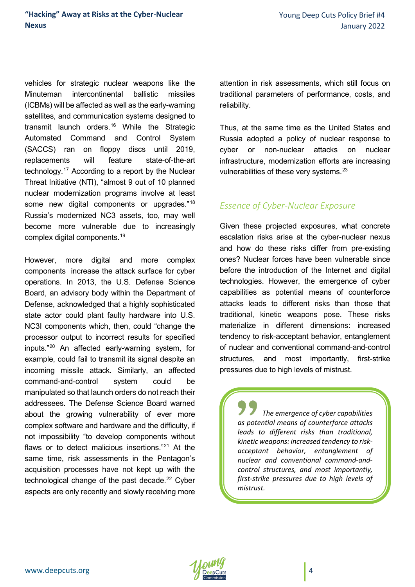vehicles for strategic nuclear weapons like the Minuteman intercontinental ballistic missiles (ICBMs) will be affected as well as the early-warning satellites, and communication systems designed to transmit launch orders.[16](#page-12-4) While the Strategic Automated Command and Control System (SACCS) ran on floppy discs until 2019, replacements will feature state-of-the-art technology.[17](#page-12-5) According to a report by the Nuclear Threat Initiative (NTI), "almost 9 out of 10 planned nuclear modernization programs involve at least some new digital components or upgrades."<sup>[18](#page-12-6)</sup> Russia's modernized NC3 assets, too, may well become more vulnerable due to increasingly complex digital components.[19](#page-12-7)

However, more digital and more complex components increase the attack surface for cyber operations. In 2013, the U.S. Defense Science Board, an advisory body within the Department of Defense, acknowledged that a highly sophisticated state actor could plant faulty hardware into U.S. NC3I components which, then, could "change the processor output to incorrect results for specified inputs."[20](#page-12-8) An affected early-warning system, for example, could fail to transmit its signal despite an incoming missile attack. Similarly, an affected command-and-control system could be manipulated so that launch orders do not reach their addressees. The Defense Science Board warned about the growing vulnerability of ever more complex software and hardware and the difficulty, if not impossibility "to develop components without flaws or to detect malicious insertions."[21](#page-12-9) At the same time, risk assessments in the Pentagon's acquisition processes have not kept up with the technological change of the past decade. $22$  Cyber aspects are only recently and slowly receiving more

attention in risk assessments, which still focus on traditional parameters of performance, costs, and reliability.

Thus, at the same time as the United States and Russia adopted a policy of nuclear response to cyber or non-nuclear attacks on nuclear infrastructure, modernization efforts are increasing vulnerabilities of these very systems.<sup>[23](#page-12-11)</sup>

# *Essence of Cyber-Nuclear Exposure*

Given these projected exposures, what concrete escalation risks arise at the cyber-nuclear nexus and how do these risks differ from pre-existing ones? Nuclear forces have been vulnerable since before the introduction of the Internet and digital technologies. However, the emergence of cyber capabilities as potential means of counterforce attacks leads to different risks than those that traditional, kinetic weapons pose. These risks materialize in different dimensions: increased tendency to risk-acceptant behavior, entanglement of nuclear and conventional command-and-control structures, and most importantly, first-strike pressures due to high levels of mistrust.

*The emergence of cyber capabilities as potential means of counterforce attacks leads to different risks than traditional, kinetic weapons: increased tendency to riskacceptant behavior, entanglement of nuclear and conventional command-andcontrol structures, and most importantly, first-strike pressures due to high levels of mistrust.*

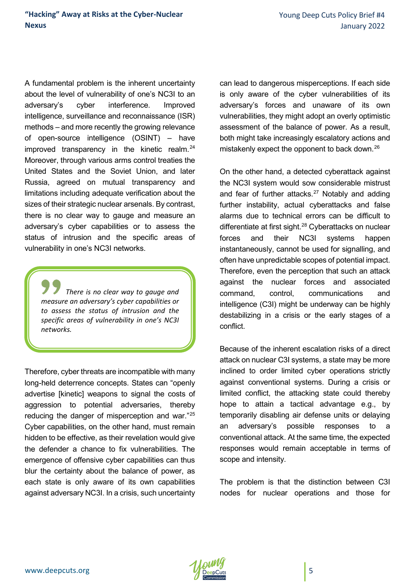A fundamental problem is the inherent uncertainty about the level of vulnerability of one's NC3I to an adversary's cyber interference. Improved intelligence, surveillance and reconnaissance (ISR) methods – and more recently the growing relevance of open-source intelligence (OSINT) – have improved transparency in the kinetic realm. $24$ Moreover, through various arms control treaties the United States and the Soviet Union, and later Russia, agreed on mutual transparency and limitations including adequate verification about the sizes of their strategic nuclear arsenals. By contrast, there is no clear way to gauge and measure an adversary's cyber capabilities or to assess the status of intrusion and the specific areas of vulnerability in one's NC3I networks.

*There is no clear way to gauge and measure an adversary's cyber capabilities or to assess the status of intrusion and the specific areas of vulnerability in one's NC3I networks.*

Therefore, cyber threats are incompatible with many long-held deterrence concepts. States can "openly advertise [kinetic] weapons to signal the costs of aggression to potential adversaries, thereby reducing the danger of misperception and war."[25](#page-13-0) Cyber capabilities, on the other hand, must remain hidden to be effective, as their revelation would give the defender a chance to fix vulnerabilities. The emergence of offensive cyber capabilities can thus blur the certainty about the balance of power, as each state is only aware of its own capabilities against adversary NC3I. In a crisis, such uncertainty can lead to dangerous misperceptions. If each side is only aware of the cyber vulnerabilities of its adversary's forces and unaware of its own vulnerabilities, they might adopt an overly optimistic assessment of the balance of power. As a result, both might take increasingly escalatory actions and mistakenly expect the opponent to back down.<sup>[26](#page-13-1)</sup>

On the other hand, a detected cyberattack against the NC3I system would sow considerable mistrust and fear of further attacks. $27$  Notably and adding further instability, actual cyberattacks and false alarms due to technical errors can be difficult to differentiate at first sight.<sup>[28](#page-13-3)</sup> Cyberattacks on nuclear forces and their NC3I systems happen instantaneously, cannot be used for signalling, and often have unpredictable scopes of potential impact. Therefore, even the perception that such an attack against the nuclear forces and associated command, control, communications and intelligence (C3I) might be underway can be highly destabilizing in a crisis or the early stages of a conflict.

Because of the inherent escalation risks of a direct attack on nuclear C3I systems, a state may be more inclined to order limited cyber operations strictly against conventional systems. During a crisis or limited conflict, the attacking state could thereby hope to attain a tactical advantage e.g., by temporarily disabling air defense units or delaying an adversary's possible responses to a conventional attack. At the same time, the expected responses would remain acceptable in terms of scope and intensity.

The problem is that the distinction between C3I nodes for nuclear operations and those for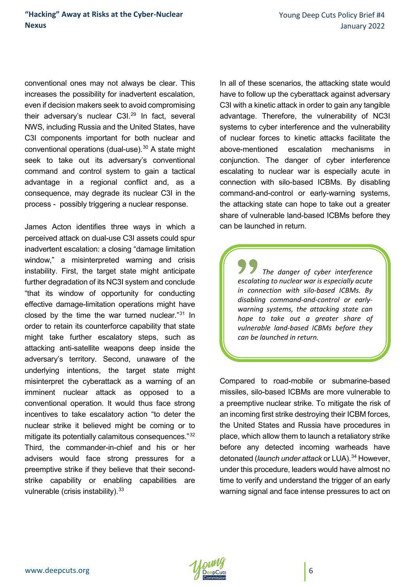conventional ones may not always be clear. This increases the possibility for inadvertent escalation, even if decision makers seek to avoid compromising their adversary's nuclear C3I.<sup>[29](#page-13-4)</sup> In fact, several NWS, including Russia and the United States, have C3I components important for both nuclear and conventional operations (dual-use).[30](#page-13-5) A state might seek to take out its adversary's conventional command and control system to gain a tactical advantage in a regional conflict and, as a consequence, may degrade its nuclear C3I in the process - possibly triggering a nuclear response.

James Acton identifies three ways in which a perceived attack on dual-use C3I assets could spur inadvertent escalation: a closing "damage limitation window," a misinterpreted warning and crisis instability. First, the target state might anticipate further degradation of its NC3I system and conclude "that its window of opportunity for conducting effective damage-limitation operations might have closed by the time the war turned nuclear."[31](#page-13-6) In order to retain its counterforce capability that state might take further escalatory steps, such as attacking anti-satellite weapons deep inside the adversary's territory. Second, unaware of the underlying intentions, the target state might misinterpret the cyberattack as a warning of an imminent nuclear attack as opposed to a conventional operation. It would thus face strong incentives to take escalatory action "to deter the nuclear strike it believed might be coming or to mitigate its potentially calamitous consequences."[32](#page-13-7) Third, the commander-in-chief and his or her advisers would face strong pressures for a preemptive strike if they believe that their secondstrike capability or enabling capabilities are vulnerable (crisis instability). [33](#page-13-8)

In all of these scenarios, the attacking state would have to follow up the cyberattack against adversary C3I with a kinetic attack in order to gain any tangible advantage. Therefore, the vulnerability of NC3I systems to cyber interference and the vulnerability of nuclear forces to kinetic attacks facilitate the above-mentioned escalation mechanisms in conjunction. The danger of cyber interference escalating to nuclear war is especially acute in connection with silo-based ICBMs. By disabling command-and-control or early-warning systems, the attacking state can hope to take out a greater share of vulnerable land-based ICBMs before they can be launched in return.

*The danger of cyber interference escalating to nuclear war is especially acute in connection with silo-based ICBMs. By disabling command-and-control or earlywarning systems, the attacking state can hope to take out a greater share of vulnerable land-based ICBMs before they can be launched in return.*

Compared to road-mobile or submarine-based missiles, silo-based ICBMs are more vulnerable to a preemptive nuclear strike. To mitigate the risk of an incoming first strike destroying their ICBM forces, the United States and Russia have procedures in place, which allow them to launch a retaliatory strike before any detected incoming warheads have detonated (*launch under attack* or LUA).[34](#page-13-9) However, under this procedure, leaders would have almost no time to verify and understand the trigger of an early warning signal and face intense pressures to act on

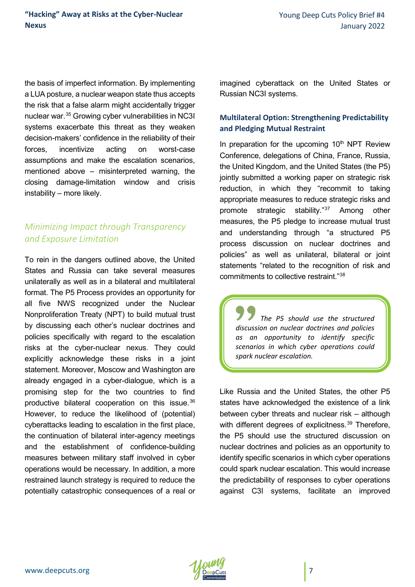the basis of imperfect information. By implementing a LUA posture, a nuclear weapon state thus accepts the risk that a false alarm might accidentally trigger nuclear war.[35](#page-13-10) Growing cyber vulnerabilities in NC3I systems exacerbate this threat as they weaken decision-makers' confidence in the reliability of their forces, incentivize acting on worst-case assumptions and make the escalation scenarios, mentioned above – misinterpreted warning, the closing damage-limitation window and crisis instability – more likely.

# *Minimizing Impact through Transparency and Exposure Limitation*

To rein in the dangers outlined above, the United States and Russia can take several measures unilaterally as well as in a bilateral and multilateral format. The P5 Process provides an opportunity for all five NWS recognized under the Nuclear Nonproliferation Treaty (NPT) to build mutual trust by discussing each other's nuclear doctrines and policies specifically with regard to the escalation risks at the cyber-nuclear nexus. They could explicitly acknowledge these risks in a joint statement. Moreover, Moscow and Washington are already engaged in a cyber-dialogue, which is a promising step for the two countries to find productive bilateral cooperation on this issue.[36](#page-13-11)  However, to reduce the likelihood of (potential) cyberattacks leading to escalation in the first place, the continuation of bilateral inter-agency meetings and the establishment of confidence-building measures between military staff involved in cyber operations would be necessary. In addition, a more restrained launch strategy is required to reduce the potentially catastrophic consequences of a real or imagined cyberattack on the United States or Russian NC3I systems.

### **Multilateral Option: Strengthening Predictability and Pledging Mutual Restraint**

In preparation for the upcoming  $10<sup>th</sup>$  NPT Review Conference, delegations of China, France, Russia, the United Kingdom, and the United States (the P5) jointly submitted a working paper on strategic risk reduction, in which they "recommit to taking appropriate measures to reduce strategic risks and promote strategic stability."[37](#page-13-12) Among other measures, the P5 pledge to increase mutual trust and understanding through "a structured P5 process discussion on nuclear doctrines and policies" as well as unilateral, bilateral or joint statements "related to the recognition of risk and commitments to collective restraint."[38](#page-13-13)

*The P5 should use the structured discussion on nuclear doctrines and policies as an opportunity to identify specific scenarios in which cyber operations could spark nuclear escalation.*

Like Russia and the United States, the other P5 states have acknowledged the existence of a link between cyber threats and nuclear risk – although with different degrees of explicitness.<sup>[39](#page-13-14)</sup> Therefore, the P5 should use the structured discussion on nuclear doctrines and policies as an opportunity to identify specific scenarios in which cyber operations could spark nuclear escalation. This would increase the predictability of responses to cyber operations against C3I systems, facilitate an improved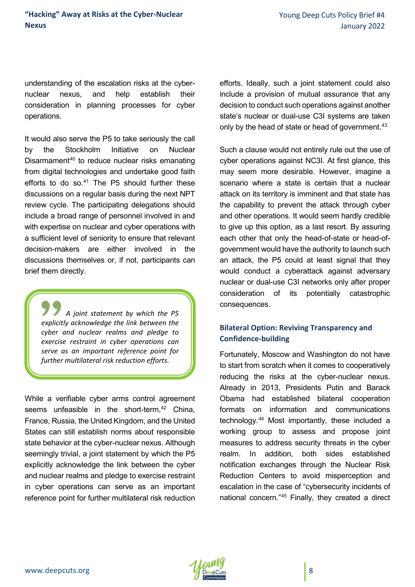understanding of the escalation risks at the cybernuclear nexus, and help establish their consideration in planning processes for cyber operations.

It would also serve the P5 to take seriously the call by the Stockholm Initiative on Nuclear Disarmament<sup>[40](#page-13-15)</sup> to reduce nuclear risks emanating from digital technologies and undertake good faith efforts to do so. $41$  The P5 should further these discussions on a regular basis during the next NPT review cycle. The participating delegations should include a broad range of personnel involved in and with expertise on nuclear and cyber operations with a sufficient level of seniority to ensure that relevant decision-makers are either involved in the discussions themselves or, if not, participants can brief them directly.

*A joint statement by which the P5 explicitly acknowledge the link between the cyber and nuclear realms and pledge to exercise restraint in cyber operations can serve as an important reference point for further multilateral risk reduction efforts.*

While a verifiable cyber arms control agreement seems unfeasible in the short-term,  $42$  China, France, Russia, the United Kingdom, and the United States can still establish norms about responsible state behavior at the cyber-nuclear nexus. Although seemingly trivial, a joint statement by which the P5 explicitly acknowledge the link between the cyber and nuclear realms and pledge to exercise restraint in cyber operations can serve as an important reference point for further multilateral risk reduction efforts. Ideally, such a joint statement could also include a provision of mutual assurance that any decision to conduct such operations against another state's nuclear or dual-use C3I systems are taken only by the head of state or head of government.<sup>[43](#page-14-2)</sup>

Such a clause would not entirely rule out the use of cyber operations against NC3I. At first glance, this may seem more desirable. However, imagine a scenario where a state is certain that a nuclear attack on its territory is imminent and that state has the capability to prevent the attack through cyber and other operations. It would seem hardly credible to give up this option, as a last resort. By assuring each other that only the head-of-state or head-ofgovernment would have the authority to launch such an attack, the P5 could at least signal that they would conduct a cyberattack against adversary nuclear or dual-use C3I networks only after proper consideration of its potentially catastrophic consequences.

### **Bilateral Option: Reviving Transparency and Confidence-building**

Fortunately, Moscow and Washington do not have to start from scratch when it comes to cooperatively reducing the risks at the cyber-nuclear nexus. Already in 2013, Presidents Putin and Barack Obama had established bilateral cooperation formats on information and communications technology.[44](#page-14-3) Most importantly, these included a working group to assess and propose joint measures to address security threats in the cyber realm. In addition, both sides established notification exchanges through the Nuclear Risk Reduction Centers to avoid misperception and escalation in the case of "cybersecurity incidents of national concern."[45](#page-14-4) Finally, they created a direct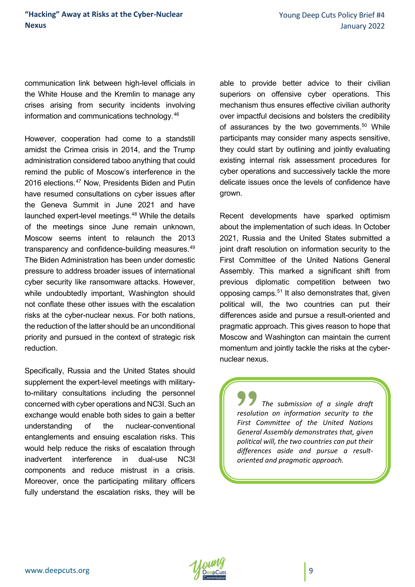communication link between high-level officials in the White House and the Kremlin to manage any crises arising from security incidents involving information and communications technology.[46](#page-14-5)

However, cooperation had come to a standstill amidst the Crimea crisis in 2014, and the Trump administration considered taboo anything that could remind the public of Moscow's interference in the 2016 elections.<sup>[47](#page-14-6)</sup> Now, Presidents Biden and Putin have resumed consultations on cyber issues after the Geneva Summit in June 2021 and have launched expert-level meetings.<sup>[48](#page-14-7)</sup> While the details of the meetings since June remain unknown, Moscow seems intent to relaunch the 2013 transparency and confidence-building measures.<sup>[49](#page-14-8)</sup> The Biden Administration has been under domestic pressure to address broader issues of international cyber security like ransomware attacks. However, while undoubtedly important, Washington should not conflate these other issues with the escalation risks at the cyber-nuclear nexus. For both nations, the reduction of the latter should be an unconditional priority and pursued in the context of strategic risk reduction.

Specifically, Russia and the United States should supplement the expert-level meetings with militaryto-military consultations including the personnel concerned with cyber operations and NC3I. Such an exchange would enable both sides to gain a better understanding of the nuclear-conventional entanglements and ensuing escalation risks. This would help reduce the risks of escalation through inadvertent interference in dual-use NC3I components and reduce mistrust in a crisis. Moreover, once the participating military officers fully understand the escalation risks, they will be

able to provide better advice to their civilian superiors on offensive cyber operations. This mechanism thus ensures effective civilian authority over impactful decisions and bolsters the credibility of assurances by the two governments.<sup>[50](#page-14-9)</sup> While participants may consider many aspects sensitive, they could start by outlining and jointly evaluating existing internal risk assessment procedures for cyber operations and successively tackle the more delicate issues once the levels of confidence have grown.

Recent developments have sparked optimism about the implementation of such ideas. In October 2021, Russia and the United States submitted a joint draft resolution on information security to the First Committee of the United Nations General Assembly. This marked a significant shift from previous diplomatic competition between two opposing camps.<sup>[51](#page-14-10)</sup> It also demonstrates that, given political will, the two countries can put their differences aside and pursue a result-oriented and pragmatic approach. This gives reason to hope that Moscow and Washington can maintain the current momentum and jointly tackle the risks at the cybernuclear nexus.

*The submission of a single draft resolution on information security to the First Committee of the United Nations General Assembly demonstrates that, given political will, the two countries can put their differences aside and pursue a resultoriented and pragmatic approach.* 

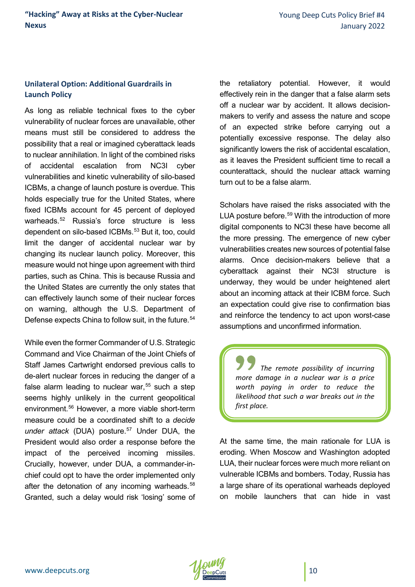#### **Unilateral Option: Additional Guardrails in Launch Policy**

As long as reliable technical fixes to the cyber vulnerability of nuclear forces are unavailable, other means must still be considered to address the possibility that a real or imagined cyberattack leads to nuclear annihilation. In light of the combined risks of accidental escalation from NC3I cyber vulnerabilities and kinetic vulnerability of silo-based ICBMs, a change of launch posture is overdue. This holds especially true for the United States, where fixed ICBMs account for 45 percent of deployed warheads.<sup>[52](#page-14-11)</sup> Russia's force structure is less dependent on silo-based ICBMs.<sup>[53](#page-14-12)</sup> But it, too, could limit the danger of accidental nuclear war by changing its nuclear launch policy. Moreover, this measure would not hinge upon agreement with third parties, such as China. This is because Russia and the United States are currently the only states that can effectively launch some of their nuclear forces on warning, although the U.S. Department of Defense expects China to follow suit, in the future.<sup>[54](#page-14-13)</sup>

While even the former Commander of U.S. Strategic Command and Vice Chairman of the Joint Chiefs of Staff James Cartwright endorsed previous calls to de-alert nuclear forces in reducing the danger of a false alarm leading to nuclear war.<sup>[55](#page-14-14)</sup> such a step seems highly unlikely in the current geopolitical environment.<sup>[56](#page-14-15)</sup> However, a more viable short-term measure could be a coordinated shift to a *decide*  under attack (DUA) posture.<sup>[57](#page-14-16)</sup> Under DUA, the President would also order a response before the impact of the perceived incoming missiles. Crucially, however, under DUA, a commander-inchief could opt to have the order implemented only after the detonation of any incoming warheads.<sup>[58](#page-14-17)</sup> Granted, such a delay would risk 'losing' some of the retaliatory potential. However, it would effectively rein in the danger that a false alarm sets off a nuclear war by accident. It allows decisionmakers to verify and assess the nature and scope of an expected strike before carrying out a potentially excessive response. The delay also significantly lowers the risk of accidental escalation, as it leaves the President sufficient time to recall a counterattack, should the nuclear attack warning turn out to be a false alarm.

Scholars have raised the risks associated with the LUA posture before.<sup>[59](#page-14-18)</sup> With the introduction of more digital components to NC3I these have become all the more pressing. The emergence of new cyber vulnerabilities creates new sources of potential false alarms. Once decision-makers believe that a cyberattack against their NC3I structure is underway, they would be under heightened alert about an incoming attack at their ICBM force. Such an expectation could give rise to confirmation bias and reinforce the tendency to act upon worst-case assumptions and unconfirmed information.

*The remote possibility of incurring more damage in a nuclear war is a price worth paying in order to reduce the likelihood that such a war breaks out in the first place.*

At the same time, the main rationale for LUA is eroding. When Moscow and Washington adopted LUA, their nuclear forces were much more reliant on vulnerable ICBMs and bombers. Today, Russia has a large share of its operational warheads deployed on mobile launchers that can hide in vast

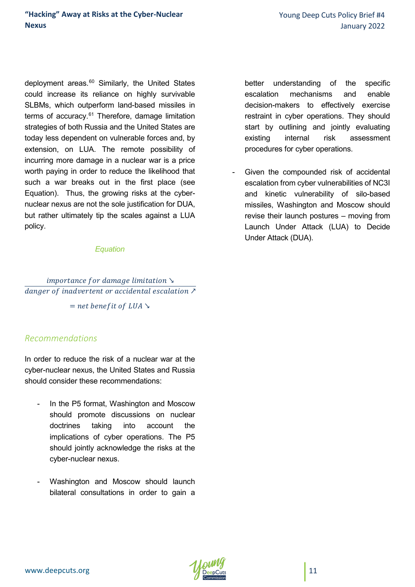deployment areas.<sup>[60](#page-14-19)</sup> Similarly, the United States could increase its reliance on highly survivable SLBMs, which outperform land-based missiles in terms of accuracy.<sup>[61](#page-14-20)</sup> Therefore, damage limitation strategies of both Russia and the United States are today less dependent on vulnerable forces and, by extension, on LUA. The remote possibility of incurring more damage in a nuclear war is a price worth paying in order to reduce the likelihood that such a war breaks out in the first place (see Equation). Thus, the growing risks at the cybernuclear nexus are not the sole justification for DUA, but rather ultimately tip the scales against a LUA policy.

#### *Equation*

# $importance for damage limitation \succeq$  $\overline{dangent\ of\ inadvertent\ or\ accidental\ escalation\ A}$

 $=$  net benefit of LUA  $\searrow$ 

### *Recommendations*

In order to reduce the risk of a nuclear war at the cyber-nuclear nexus, the United States and Russia should consider these recommendations:

- In the P5 format, Washington and Moscow should promote discussions on nuclear doctrines taking into account the implications of cyber operations. The P5 should jointly acknowledge the risks at the cyber-nuclear nexus.
- Washington and Moscow should launch bilateral consultations in order to gain a

better understanding of the specific escalation mechanisms and enable decision-makers to effectively exercise restraint in cyber operations. They should start by outlining and jointly evaluating existing internal risk assessment procedures for cyber operations.

Given the compounded risk of accidental escalation from cyber vulnerabilities of NC3I and kinetic vulnerability of silo-based missiles, Washington and Moscow should revise their launch postures – moving from Launch Under Attack (LUA) to Decide Under Attack (DUA).

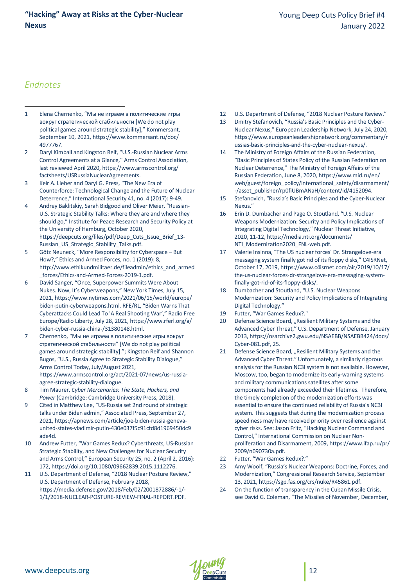#### **"Hacking" Away at Risks at the Cyber-Nuclear Nexus**

## *Endnotes*

 $\overline{a}$ 

- <span id="page-11-0"></span>1 Elena Chernenko, "Мы не играем в политические игры вокруг стратегической стабильности [We do not play political games around strategic stability]," Kommersant, September 10, 2021, https://www.kommersant.ru/doc/ 4977767.
- <span id="page-11-1"></span>2 Daryl Kimball and Kingston Reif, "U.S.-Russian Nuclear Arms Control Agreements at a Glance," Arms Control Association, last reviewed April 2020, https://www.armscontrol.org/ factsheets/USRussiaNuclearAgreements.
- <span id="page-11-2"></span>3 Keir A. Lieber and Daryl G. Press, "The New Era of Counterforce: Technological Change and the Future of Nuclear Deterrence," International Security 41, no. 4 (2017): 9-49.
- <span id="page-11-3"></span>4 Andrey Baklitskiy, Sarah Bidgood and Oliver Meier, "Russian-U.S. Strategic Stability Talks: Where they are and where they should go," Institute for Peace Research and Security Policy at the University of Hamburg, October 2020, https://deepcuts.org/files/pdf/Deep\_Cuts\_Issue\_Brief\_13-Russian\_US\_Strategic\_Stability\_Talks.pdf.
- <span id="page-11-4"></span>5 Götz Neuneck, "More Responsibility for Cyberspace – But How?," Ethics and Armed Forces, no. 1 (2019): 8, http://www.ethikundmilitaer.de/fileadmin/ethics\_and\_armed \_forces/Ethics-and-Armed-Forces-2019-1.pdf.
- <span id="page-11-5"></span>6 David Sanger, "Once, Superpower Summits Were About Nukes. Now, It's Cyberweapons," New York Times, July 15, 2021, https://www.nytimes.com/2021/06/15/world/europe/ biden-putin-cyberweapons.html. RFE/RL, "Biden Warns That Cyberattacks Could Lead To 'A Real Shooting War'," Radio Free Europe/Radio Liberty, July 28, 2021, https://www.rferl.org/a/ biden-cyber-russia-china-/31380148.html.
- <span id="page-11-6"></span>7 Chernenko, "Мы не играем в политические игры вокруг стратегической стабильности" [We do not play political games around strategic stability]."; Kingston Reif and Shannon Bugos, "U.S., Russia Agree to Strategic Stability Dialogue," Arms Control Today, July/August 2021, https://www.armscontrol.org/act/2021-07/news/us-russiaagree-strategic-stability-dialogue.
- <span id="page-11-7"></span>8 Tim Maurer, *Cyber Mercenaries: The State, Hackers, and Power* (Cambridge: Cambridge University Press, 2018).
- <span id="page-11-8"></span>9 Cited in Matthew Lee, "US-Russia set 2nd round of strategic talks under Biden admin," Associated Press, September 27, 2021, https://apnews.com/article/joe-biden-russia-genevaunited-states-vladimir-putin-430e037f5c91cfd8d1969450dc9 ade4d.
- <span id="page-11-9"></span>10 Andrew Futter, "War Games Redux? Cyberthreats, US-Russian Strategic Stability, and New Challenges for Nuclear Security and Arms Control," European Security 25, no. 2 (April 2, 2016): 172, https://doi.org/10.1080/09662839.2015.1112276.
- <span id="page-11-10"></span>11 U.S. Department of Defense, "2018 Nuclear Posture Review," U.S. Department of Defense, February 2018, https://media.defense.gov/2018/Feb/02/2001872886/-1/- 1/1/2018-NUCLEAR-POSTURE-REVIEW-FINAL-REPORT.PDF.
- 12 U.S. Department of Defense, "2018 Nuclear Posture Review."
- 13 Dmitry Stefanovich, "Russia's Basic Principles and the Cyber-Nuclear Nexus," European Leadership Network, July 24, 2020, [https://www.europeanleadershipnetwork.org/commentary/r](https://www.europeanleadershipnetwork.org/commentary/russias-basic-principles-and-the-cyber-nuclear-nexus/) [ussias-basic-principles-and-the-cyber-nuclear-nexus/.](https://www.europeanleadershipnetwork.org/commentary/russias-basic-principles-and-the-cyber-nuclear-nexus/)
- 14 The Ministry of Foreign Affairs of the Russian Federation, "Basic Principles of States Policy of the Russian Federation on Nuclear Deterrence," The Ministry of Foreign Affairs of the Russian Federation, June 8, 2020, https://www.mid.ru/en/ web/guest/foreign\_policy/international\_safety/disarmament/ -/asset\_publisher/rp0fiUBmANaH/content/id/4152094.
- 15 Stefanovich, "Russia's Basic Principles and the Cyber-Nuclear Nexus."
- 16 Erin D. Dumbacher and Page O. Stoutland, "U.S. Nuclear Weapons Modernization: Security and Policy Implications of Integrating Digital Technology," Nuclear Threat Initiative, 2020, 11-12, https://media.nti.org/documents/ NTI\_Modernization2020\_FNL-web.pdf.
- 17 Valerie Insinna, "The US nuclear forces' Dr. Strangelove-era messaging system finally got rid of its floppy disks," C4ISRNet, October 17, 2019, https://www.c4isrnet.com/air/2019/10/17/ the-us-nuclear-forces-dr-strangelove-era-messaging-systemfinally-got-rid-of-its-floppy-disks/.
- 18 Dumbacher and Stoutland, "U.S. Nuclear Weapons Modernization: Security and Policy Implications of Integrating Digital Technology."
- 19 Futter, "War Games Redux?."
- 20 Defense Science Board, "Resilient Military Systems and the Advanced Cyber Threat," U.S. Department of Defense, January 2013, https://nsarchive2.gwu.edu/NSAEBB/NSAEBB424/docs/ Cyber-081.pdf, 25.
- 21 Defense Science Board, "Resilient Military Systems and the Advanced Cyber Threat." Unfortunately, a similarly rigorous analysis for the Russian NC3I system is not available. However, Moscow, too, began to modernize its early-warning systems and military communications satellites after some components had already exceeded their lifetimes. Therefore, the timely completion of the modernization efforts was essential to ensure the continued reliability of Russia's NC3I system. This suggests that during the modernization process speediness may have received priority over resilience against cyber risks. See: Jason Fritz, "Hacking Nuclear Command and Control," International Commission on Nuclear Nonproliferation and Disarmament, 2009, https://www.ifap.ru/pr/ 2009/n090730a.pdf.
- 22 Futter, "War Games Redux?."
- 23 Amy Woolf, "Russia's Nuclear Weapons: Doctrine, Forces, and Modernization," Congressional Research Service, September 13, 2021[, https://sgp.fas.org/crs/nuke/R45861.pdf.](https://sgp.fas.org/crs/nuke/R45861.pdf)
- 24 On the function of transparency in the Cuban Missile Crisis, see David G. Coleman, "The Missiles of November, December,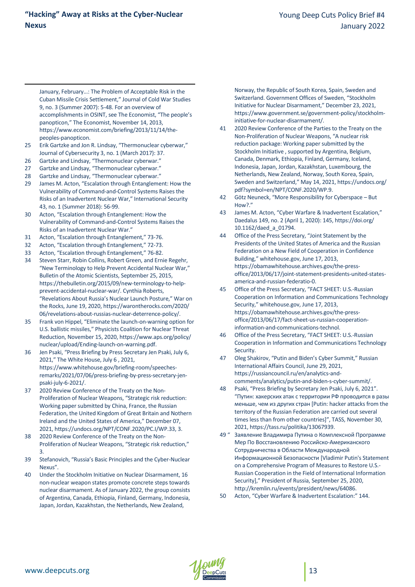January, February…: The Problem of Acceptable Risk in the Cuban Missile Crisis Settlement," Journal of Cold War Studies 9, no. 3 (Summer 2007): 5-48. For an overview of accomplishments in OSINT, see The Economist, "The people's panopticon," The Economist, November 14, 2013, [https://www.economist.com/briefing/2013/11/14/the](https://www.economist.com/briefing/2013/11/14/the-peoples-panopticon)[peoples-panopticon.](https://www.economist.com/briefing/2013/11/14/the-peoples-panopticon) 

- <span id="page-12-2"></span><span id="page-12-1"></span>25 Erik Gartzke and Jon R. Lindsay, "Thermonuclear cyberwar," Journal of Cybersecurity 3, no. 1 (March 2017): 37.
- 26 Gartzke and Lindsay, "Thermonuclear cyberwar."

<span id="page-12-0"></span>l

- 27 Gartzke and Lindsay, "Thermonuclear cyberwar."
- 28 Gartzke and Lindsay, "Thermonuclear cyberwar."
- <span id="page-12-3"></span>29 James M. Acton, "Escalation through Entanglement: How the Vulnerability of Command-and-Control Systems Raises the Risks of an Inadvertent Nuclear War," International Security 43, no. 1 (Summer 2018): 56-99.
- <span id="page-12-4"></span>30 Acton, "Escalation through Entanglement: How the Vulnerability of Command-and-Control Systems Raises the Risks of an Inadvertent Nuclear War."
- 31 Acton, "Escalation through Entanglement," 73-76.
- 32 Acton, "Escalation through Entanglement," 72-73.
- <span id="page-12-5"></span>33 Acton, "Escalation through Entanglement," 76-82.
- <span id="page-12-6"></span>34 Steven Starr, Robin Collins, Robert Green, and Ernie Regehr, "New Terminology to Help Prevent Accidental Nuclear War," Bulletin of the Atomic Scientists, September 25, 2015, https://thebulletin.org/2015/09/new-terminology-to-helpprevent-accidental-nuclear-war/. Cynthia Roberts, "Revelations About Russia's Nuclear Launch Posture," War on the Rocks, June 19, 2020, https://warontherocks.com/2020/ 06/revelations-about-russias-nuclear-deterrence-policy/.
- <span id="page-12-8"></span><span id="page-12-7"></span>35 Frank von Hippel, "Eliminate the launch-on-warning option for U.S. ballistic missiles," Physicists Coalition for Nuclear Threat Reduction, November 15, 2020, https://www.aps.org/policy/ nuclear/upload/Ending-launch-on-warning.pdf.
- <span id="page-12-9"></span>36 Jen Psaki, "Press Briefing by Press Secretary Jen Psaki, July 6, 2021," The White House, July 6 , 2021, https://www.whitehouse.gov/briefing-room/speechesremarks/2021/07/06/press-briefing-by-press-secretary-jenpsaki-july-6-2021/.
- 37 2020 Review Conference of the Treaty on the Non-Proliferation of Nuclear Weapons, "Strategic risk reduction: Working paper submitted by China, France, the Russian Federation, the United Kingdom of Great Britain and Nothern Ireland and the United States of America," December 07, 2021, https://undocs.org/NPT/CONF.2020/PC.I/WP.33, 3.
- 38 2020 Review Conference of the Treaty on the Non-Proliferation of Nuclear Weapons, "Strategic risk reduction," 3.
- <span id="page-12-11"></span><span id="page-12-10"></span>39 Stefanovich, "Russia's Basic Principles and the Cyber-Nuclear Nexus".
- <span id="page-12-12"></span>40 Under the Stockholm Initiative on Nuclear Disarmament, 16 non-nuclear weapon states promote concrete steps towards nuclear disarmament. As of January 2022, the group consists of Argentina, Canada, Ethiopia, Finland, Germany, Indonesia, Japan, Jordan, Kazakhstan, the Netherlands, New Zealand,

Norway, the Republic of South Korea, Spain, Sweden and Switzerland. Government Offices of Sweden, "Stockholm Initiative for Nuclear Disarmament," December 23, 2021, https://www.government.se/government-policy/stockholminitiative-for-nuclear-disarmament/.

- 41 2020 Review Conference of the Parties to the Treaty on the Non-Proliferation of Nuclear Weapons, "A nuclear risk reduction package: Working paper submitted by the Stockholm Initiative , supported by Argentina, Belgium, Canada, Denmark, Ethiopia, Finland, Germany, Iceland, Indonesia, Japan, Jordan, Kazakhstan, Luxembourg, the Netherlands, New Zealand, Norway, South Korea, Spain, Sweden and Switzerland," May 14, 2021, https://undocs.org/ pdf?symbol=en/NPT/CONF.2020/WP.9.
- 42 Götz Neuneck, "More Responsibility for Cyberspace But How?"
- 43 James M. Acton, "Cyber Warfare & Inadvertent Escalation," Daedalus 149, no. 2 (April 1, 2020): 145, https://doi.org/ 10.1162/daed\_a\_01794.
- 44 Office of the Press Secretary, "Joint Statement by the Presidents of the United States of America and the Russian Federation on a New Field of Cooperation in Confidence Building," whitehouse.gov, June 17, 2013, https://obamawhitehouse.archives.gov/the-pressoffice/2013/06/17/joint-statement-presidents-united-statesamerica-and-russian-federatio-0.
- 45 Office of the Press Secretary, "FACT SHEET: U.S.-Russian Cooperation on Information and Communications Technology Security," whitehouse.gov, June 17, 2013, https://obamawhitehouse.archives.gov/the-pressoffice/2013/06/17/fact-sheet-us-russian-cooperationinformation-and-communications-technol.
- 46 Office of the Press Secretary, "FACT SHEET: U.S.-Russian Cooperation in Information and Communications Technology Security.
- 47 Oleg Shakirov, "Putin and Biden's Cyber Summit," Russian International Affairs Council, June 29, 2021, https://russiancouncil.ru/en/analytics-andcomments/analytics/putin-and-biden-s-cyber-summit/.
- 48 Psaki, "Press Briefing by Secretary Jen Psaki, July 6, 2021". "Путин: хакерских атак с территории РФ проводится в разы меньше, чем из других стран [Putin: hacker attacks from the territory of the Russian Federation are carried out several times less than from other countries]", TASS, November 30, 2021, https://tass.ru/politika/13067939.
- 49 " Заявление Владимира Путина о Комплексной Программе Мер По Восстановлению Российско-Американского Сотрудничества в Области Международной Информационной Безопасности [Vladimir Putin's Statement on a Comprehensive Program of Measures to Restore U.S.- Russian Cooperation in the Field of International Information Security]," President of Russia, September 25, 2020, http://kremlin.ru/events/president/news/64086.
- 50 Acton, "Cyber Warfare & Inadvertent Escalation:" 144.

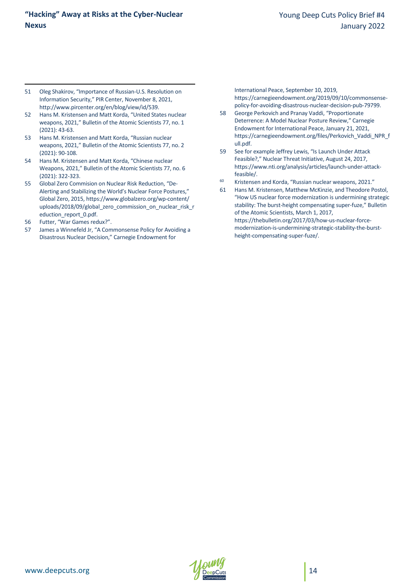- 51 Oleg Shakirov, "Importance of Russian-U.S. Resolution on Information Security," PIR Center, November 8, 2021, http://www.pircenter.org/en/blog/view/id/539.
- 52 Hans M. Kristensen and Matt Korda, "United States nuclear weapons, 2021," Bulletin of the Atomic Scientists 77, no. 1 (2021): 43-63.
- <span id="page-13-0"></span>53 Hans M. Kristensen and Matt Korda, "Russian nuclear weapons, 2021," Bulletin of the Atomic Scientists 77, no. 2  $(2021)$ : 90-108
- <span id="page-13-2"></span><span id="page-13-1"></span>54 Hans M. Kristensen and Matt Korda, "Chinese nuclear Weapons, 2021," Bulletin of the Atomic Scientists 77, no. 6 (2021): 322-323.
- <span id="page-13-4"></span><span id="page-13-3"></span>55 Global Zero Commision on Nuclear Risk Reduction, "De-Alerting and Stabilizing the World's Nuclear Force Postures," Global Zero, 2015, https://www.globalzero.org/wp-content/ uploads/2018/09/global\_zero\_commission\_on\_nuclear\_risk\_r eduction\_report\_0.pdf.
- <span id="page-13-5"></span>56 Futter, "War Games redux?".

l

<span id="page-13-13"></span><span id="page-13-12"></span><span id="page-13-11"></span><span id="page-13-10"></span><span id="page-13-9"></span><span id="page-13-8"></span><span id="page-13-7"></span><span id="page-13-6"></span>57 James a Winnefeld Jr, "A Commonsense Policy for Avoiding a Disastrous Nuclear Decision," Carnegie Endowment for

International Peace, September 10, 2019, https://carnegieendowment.org/2019/09/10/commonsensepolicy-for-avoiding-disastrous-nuclear-decision-pub-79799.

- 58 George Perkovich and Pranay Vaddi, "Proportionate Deterrence: A Model Nuclear Posture Review," Carnegie Endowment for International Peace, January 21, 2021, https://carnegieendowment.org/files/Perkovich\_Vaddi\_NPR\_f ull.pdf.
- 59 See for example Jeffrey Lewis, "Is Launch Under Attack Feasible?," Nuclear Threat Initiative, August 24, 2017, https://www.nti.org/analysis/articles/launch-under-attackfeasible/.
- <sup>60</sup> Kristensen and Korda, "Russian nuclear weapons, 2021."
- 61 Hans M. Kristensen, Matthew McKinzie, and Theodore Postol, "How US nuclear force modernization is undermining strategic stability: The burst-height compensating super-fuze," Bulletin of the Atomic Scientists, March 1, 2017, https://thebulletin.org/2017/03/how-us-nuclear-forcemodernization-is-undermining-strategic-stability-the-burstheight-compensating-super-fuze/.

<span id="page-13-15"></span><span id="page-13-14"></span>